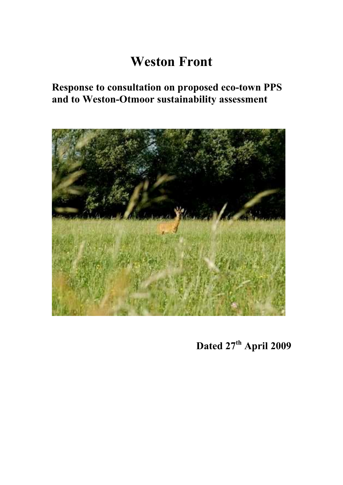# **Weston Front**

### **Response to consultation on proposed eco-town PPS and to Weston-Otmoor sustainability assessment**



**Dated 27th April 2009**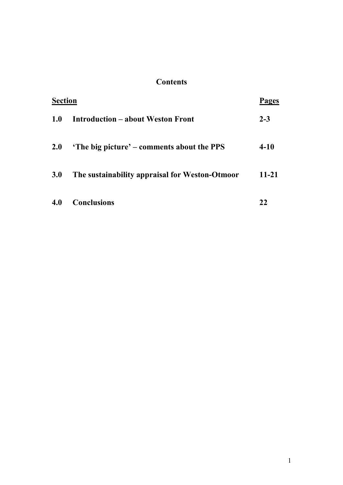### **Contents**

| <b>Section</b> |                                                  | Pages    |
|----------------|--------------------------------------------------|----------|
| <b>1.0</b>     | <b>Introduction – about Weston Front</b>         | $2 - 3$  |
| <b>2.0</b>     | <b>The big picture' – comments about the PPS</b> | $4 - 10$ |
| 3.0            | The sustainability appraisal for Weston-Otmoor   | $11-21$  |
| 4.0            | <b>Conclusions</b>                               |          |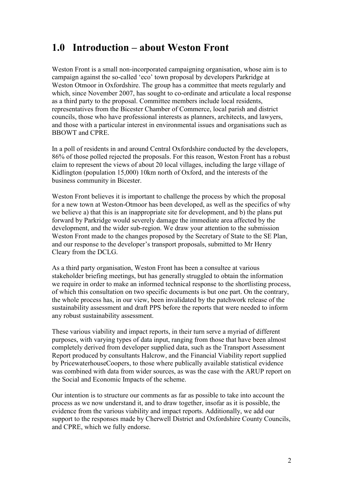### **1.0 Introduction – about Weston Front**

Weston Front is a small non-incorporated campaigning organisation, whose aim is to campaign against the so-called 'eco' town proposal by developers Parkridge at Weston Otmoor in Oxfordshire. The group has a committee that meets regularly and which, since November 2007, has sought to co-ordinate and articulate a local response as a third party to the proposal. Committee members include local residents, representatives from the Bicester Chamber of Commerce, local parish and district councils, those who have professional interests as planners, architects, and lawyers, and those with a particular interest in environmental issues and organisations such as BBOWT and CPRE.

In a poll of residents in and around Central Oxfordshire conducted by the developers, 86% of those polled rejected the proposals. For this reason, Weston Front has a robust claim to represent the views of about 20 local villages, including the large village of Kidlington (population 15,000) 10km north of Oxford, and the interests of the business community in Bicester.

Weston Front believes it is important to challenge the process by which the proposal for a new town at Weston-Otmoor has been developed, as well as the specifics of why we believe a) that this is an inappropriate site for development, and b) the plans put forward by Parkridge would severely damage the immediate area affected by the development, and the wider sub-region. We draw your attention to the submission Weston Front made to the changes proposed by the Secretary of State to the SE Plan, and our response to the developer's transport proposals, submitted to Mr Henry Cleary from the DCLG.

As a third party organisation, Weston Front has been a consultee at various stakeholder briefing meetings, but has generally struggled to obtain the information we require in order to make an informed technical response to the shortlisting process, of which this consultation on two specific documents is but one part. On the contrary, the whole process has, in our view, been invalidated by the patchwork release of the sustainability assessment and draft PPS before the reports that were needed to inform any robust sustainability assessment.

These various viability and impact reports, in their turn serve a myriad of different purposes, with varying types of data input, ranging from those that have been almost completely derived from developer supplied data, such as the Transport Assessment Report produced by consultants Halcrow, and the Financial Viability report supplied by PricewaterhouseCoopers, to those where publically available statistical evidence was combined with data from wider sources, as was the case with the ARUP report on the Social and Economic Impacts of the scheme.

Our intention is to structure our comments as far as possible to take into account the process as we now understand it, and to draw together, insofar as it is possible, the evidence from the various viability and impact reports. Additionally, we add our support to the responses made by Cherwell District and Oxfordshire County Councils, and CPRE, which we fully endorse.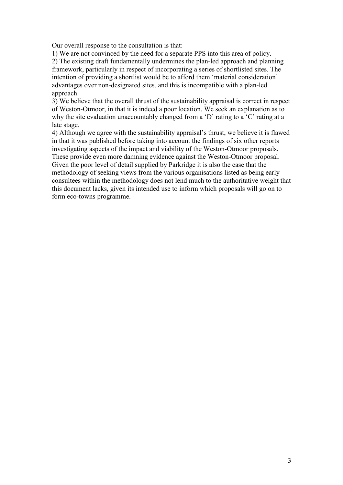Our overall response to the consultation is that:

1) We are not convinced by the need for a separate PPS into this area of policy. 2) The existing draft fundamentally undermines the plan-led approach and planning framework, particularly in respect of incorporating a series of shortlisted sites. The intention of providing a shortlist would be to afford them 'material consideration' advantages over non-designated sites, and this is incompatible with a plan-led approach.

3) We believe that the overall thrust of the sustainability appraisal is correct in respect of Weston-Otmoor, in that it is indeed a poor location. We seek an explanation as to why the site evaluation unaccountably changed from a 'D' rating to a 'C' rating at a late stage.

4) Although we agree with the sustainability appraisal's thrust, we believe it is flawed in that it was published before taking into account the findings of six other reports investigating aspects of the impact and viability of the Weston-Otmoor proposals. These provide even more damning evidence against the Weston-Otmoor proposal. Given the poor level of detail supplied by Parkridge it is also the case that the methodology of seeking views from the various organisations listed as being early consultees within the methodology does not lend much to the authoritative weight that this document lacks, given its intended use to inform which proposals will go on to form eco-towns programme.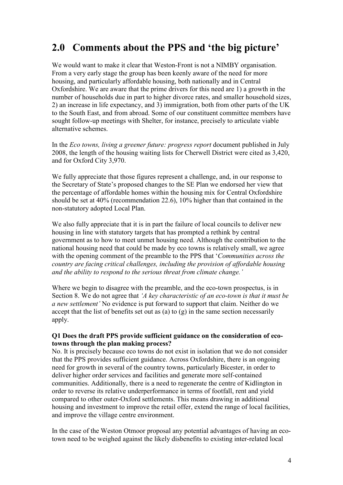### **2.0 Comments about the PPS and 'the big picture'**

We would want to make it clear that Weston-Front is not a NIMBY organisation. From a very early stage the group has been keenly aware of the need for more housing, and particularly affordable housing, both nationally and in Central Oxfordshire. We are aware that the prime drivers for this need are 1) a growth in the number of households due in part to higher divorce rates, and smaller household sizes, 2) an increase in life expectancy, and 3) immigration, both from other parts of the UK to the South East, and from abroad. Some of our constituent committee members have sought follow-up meetings with Shelter, for instance, precisely to articulate viable alternative schemes.

In the *Eco towns, living a greener future: progress report* document published in July 2008, the length of the housing waiting lists for Cherwell District were cited as 3,420, and for Oxford City 3,970.

We fully appreciate that those figures represent a challenge, and, in our response to the Secretary of State's proposed changes to the SE Plan we endorsed her view that the percentage of affordable homes within the housing mix for Central Oxfordshire should be set at 40% (recommendation 22.6), 10% higher than that contained in the non-statutory adopted Local Plan.

We also fully appreciate that it is in part the failure of local councils to deliver new housing in line with statutory targets that has prompted a rethink by central government as to how to meet unmet housing need. Although the contribution to the national housing need that could be made by eco towns is relatively small, we agree with the opening comment of the preamble to the PPS that '*Communities across the country are facing critical challenges, including the provision of affordable housing and the ability to respond to the serious threat from climate change.'* 

Where we begin to disagree with the preamble, and the eco-town prospectus, is in Section 8. We do not agree that *'A key characteristic of an eco-town is that it must be a new settlement'* No evidence is put forward to support that claim. Neither do we accept that the list of benefits set out as (a) to  $(g)$  in the same section necessarily apply.

#### **Q1 Does the draft PPS provide sufficient guidance on the consideration of ecotowns through the plan making process?**

No. It is precisely because eco towns do not exist in isolation that we do not consider that the PPS provides sufficient guidance. Across Oxfordshire, there is an ongoing need for growth in several of the country towns, particularly Bicester, in order to deliver higher order services and facilities and generate more self-contained communities. Additionally, there is a need to regenerate the centre of Kidlington in order to reverse its relative underperformance in terms of footfall, rent and yield compared to other outer-Oxford settlements. This means drawing in additional housing and investment to improve the retail offer, extend the range of local facilities, and improve the village centre environment.

In the case of the Weston Otmoor proposal any potential advantages of having an ecotown need to be weighed against the likely disbenefits to existing inter-related local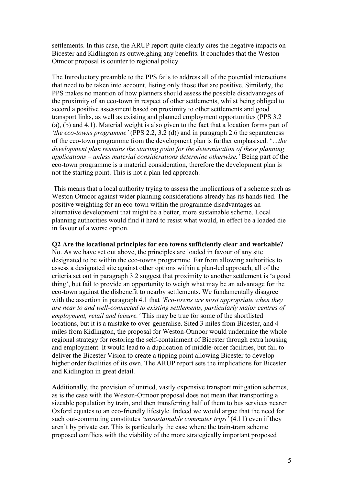settlements. In this case, the ARUP report quite clearly cites the negative impacts on Bicester and Kidlington as outweighing any benefits. It concludes that the Weston-Otmoor proposal is counter to regional policy.

The Introductory preamble to the PPS fails to address all of the potential interactions that need to be taken into account, listing only those that are positive. Similarly, the PPS makes no mention of how planners should assess the possible disadvantages of the proximity of an eco-town in respect of other settlements, whilst being obliged to accord a positive assessment based on proximity to other settlements and good transport links, as well as existing and planned employment opportunities (PPS 3.2 (a), (b) and 4.1). Material weight is also given to the fact that a location forms part of *'the eco-towns programme'* (PPS 2.2, 3.2 (d)) and in paragraph 2.6 the separateness of the eco-town programme from the development plan is further emphasised. '*…the development plan remains the starting point for the determination of these planning applications – unless material considerations determine otherwise.'* Being part of the eco-town programme is a material consideration, therefore the development plan is not the starting point. This is not a plan-led approach.

 This means that a local authority trying to assess the implications of a scheme such as Weston Otmoor against wider planning considerations already has its hands tied. The positive weighting for an eco-town within the programme disadvantages an alternative development that might be a better, more sustainable scheme. Local planning authorities would find it hard to resist what would, in effect be a loaded die in favour of a worse option.

#### **Q2 Are the locational principles for eco towns sufficiently clear and workable?**

No. As we have set out above, the principles are loaded in favour of any site designated to be within the eco-towns programme. Far from allowing authorities to assess a designated site against other options within a plan-led approach, all of the criteria set out in paragraph 3.2 suggest that proximity to another settlement is 'a good thing', but fail to provide an opportunity to weigh what may be an advantage for the eco-town against the disbenefit to nearby settlements. We fundamentally disagree with the assertion in paragraph 4.1 that *'Eco-towns are most appropriate when they are near to and well-connected to existing settlements, particularly major centres of employment, retail and leisure.'* This may be true for some of the shortlisted locations, but it is a mistake to over-generalise. Sited 3 miles from Bicester, and 4 miles from Kidlington, the proposal for Weston-Otmoor would undermine the whole regional strategy for restoring the self-containment of Bicester through extra housing and employment. It would lead to a duplication of middle-order facilities, but fail to deliver the Bicester Vision to create a tipping point allowing Bicester to develop higher order facilities of its own. The ARUP report sets the implications for Bicester and Kidlington in great detail.

Additionally, the provision of untried, vastly expensive transport mitigation schemes, as is the case with the Weston-Otmoor proposal does not mean that transporting a sizeable population by train, and then transferring half of them to bus services nearer Oxford equates to an eco-friendly lifestyle. Indeed we would argue that the need for such out-commuting constitutes *'unsustainable commuter trips'* (4.11) even if they aren't by private car. This is particularly the case where the train-tram scheme proposed conflicts with the viability of the more strategically important proposed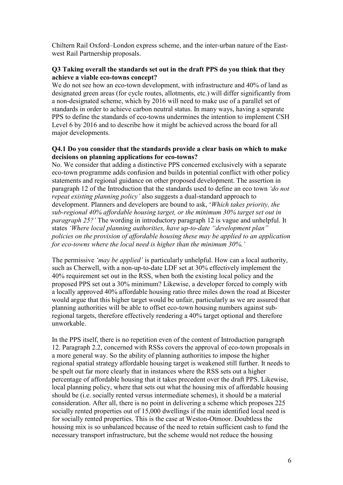Chiltern Rail Oxford–London express scheme, and the inter-urban nature of the Eastwest Rail Partnership proposals.

#### **Q3 Taking overall the standards set out in the draft PPS do you think that they achieve a viable eco-towns concept?**

We do not see how an eco-town development, with infrastructure and 40% of land as designated green areas (for cycle routes, allotments, etc.) will differ significantly from a non-designated scheme, which by 2016 will need to make use of a parallel set of standards in order to achieve carbon neutral status. In many ways, having a separate PPS to define the standards of eco-towns undermines the intention to implement CSH Level 6 by 2016 and to describe how it might be achieved across the board for all major developments.

#### **Q4.1 Do you consider that the standards provide a clear basis on which to make decisions on planning applications for eco-towns?**

No. We consider that adding a distinctive PPS concerned exclusively with a separate eco-town programme adds confusion and builds in potential conflict with other policy statements and regional guidance on other proposed development. The assertion in paragraph 12 of the Introduction that the standards used to define an eco town *'do not repeat existing planning policy'* also suggests a dual-standard approach to development. Planners and developers are bound to ask, '*Which takes priority, the sub-regional 40% affordable housing target, or the minimum 30% target set out in paragraph 25?'* The wording in introductory paragraph 12 is vague and unhelpful. It states *'Where local planning authorities, have up-to-date "development plan" policies on the provision of affordable housing these may be applied to an application for eco-towns where the local need is higher than the minimum 30%.'* 

The permissive *'may be applied'* is particularly unhelpful. How can a local authority, such as Cherwell, with a non-up-to-date LDF set at 30% effectively implement the 40% requirement set out in the RSS, when both the existing local policy and the proposed PPS set out a 30% minimum? Likewise, a developer forced to comply with a locally approved 40% affordable housing ratio three miles down the road at Bicester would argue that this higher target would be unfair, particularly as we are assured that planning authorities will be able to offset eco-town housing numbers against subregional targets, therefore effectively rendering a 40% target optional and therefore unworkable.

In the PPS itself, there is no repetition even of the content of Introduction paragraph 12. Paragraph 2.2, concerned with RSSs covers the approval of eco-town proposals in a more general way. So the ability of planning authorities to impose the higher regional spatial strategy affordable housing target is weakened still further. It needs to be spelt out far more clearly that in instances where the RSS sets out a higher percentage of affordable housing that it takes precedent over the draft PPS. Likewise, local planning policy, where that sets out what the housing mix of affordable housing should be (i.e. socially rented versus intermediate schemes), it should be a material consideration. After all, there is no point in delivering a scheme which proposes 225 socially rented properties out of 15,000 dwellings if the main identified local need is for socially rented properties. This is the case at Weston-Otmoor. Doubtless the housing mix is so unbalanced because of the need to retain sufficient cash to fund the necessary transport infrastructure, but the scheme would not reduce the housing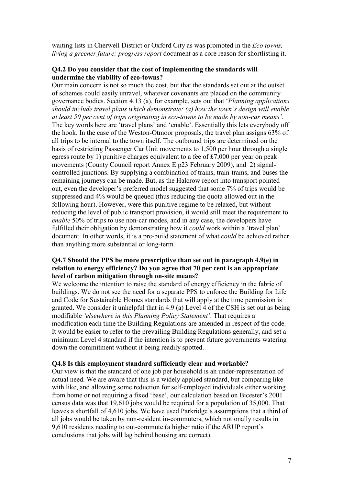waiting lists in Cherwell District or Oxford City as was promoted in the *Eco towns, living a greener future: progress report* document as a core reason for shortlisting it.

#### **Q4.2 Do you consider that the cost of implementing the standards will undermine the viability of eco-towns?**

Our main concern is not so much the cost, but that the standards set out at the outset of schemes could easily unravel, whatever covenants are placed on the community governance bodies. Section 4.13 (a), for example, sets out that '*Planning applications should include travel plans which demonstrate: (a) how the town's design will enable at least 50 per cent of trips originating in eco-towns to be made by non-car means'.* The key words here are 'travel plans' and 'enable'. Essentially this lets everybody off the hook. In the case of the Weston-Otmoor proposals, the travel plan assigns 63% of all trips to be internal to the town itself. The outbound trips are determined on the basis of restricting Passenger Car Unit movements to 1,500 per hour through a single egress route by 1) punitive charges equivalent to a fee of £7,000 per year on peak movements (County Council report Annex E p23 February 2009), and 2) signalcontrolled junctions. By supplying a combination of trains, train-trams, and buses the remaining journeys can be made. But, as the Halcrow report into transport pointed out, even the developer's preferred model suggested that some 7% of trips would be suppressed and 4% would be queued (thus reducing the quota allowed out in the following hour). However, were this punitive regime to be relaxed, but without reducing the level of public transport provision, it would still meet the requirement to *enable* 50% of trips to use non-car modes, and in any case, the developers have fulfilled their obligation by demonstrating how it *could* work within a 'travel plan' document. In other words, it is a pre-build statement of what *could* be achieved rather than anything more substantial or long-term.

#### **Q4.7 Should the PPS be more prescriptive than set out in paragraph 4.9(e) in relation to energy efficiency? Do you agree that 70 per cent is an appropriate level of carbon mitigation through on-site means?**

We welcome the intention to raise the standard of energy efficiency in the fabric of buildings. We do not see the need for a separate PPS to enforce the Building for Life and Code for Sustainable Homes standards that will apply at the time permission is granted. We consider it unhelpful that in 4.9 (a) Level 4 of the CSH is set out as being modifiable *'elsewhere in this Planning Policy Statement'*. That requires a modification each time the Building Regulations are amended in respect of the code. It would be easier to refer to the prevailing Building Regulations generally, and set a minimum Level 4 standard if the intention is to prevent future governments watering down the commitment without it being readily spotted.

#### **Q4.8 Is this employment standard sufficiently clear and workable?**

Our view is that the standard of one job per household is an under-representation of actual need. We are aware that this is a widely applied standard, but comparing like with like, and allowing some reduction for self-employed individuals either working from home or not requiring a fixed 'base', our calculation based on Bicester's 2001 census data was that 19,610 jobs would be required for a population of 35,000. That leaves a shortfall of 4,610 jobs. We have used Parkridge's assumptions that a third of all jobs would be taken by non-resident in-commuters, which notionally results in 9,610 residents needing to out-commute (a higher ratio if the ARUP report's conclusions that jobs will lag behind housing are correct).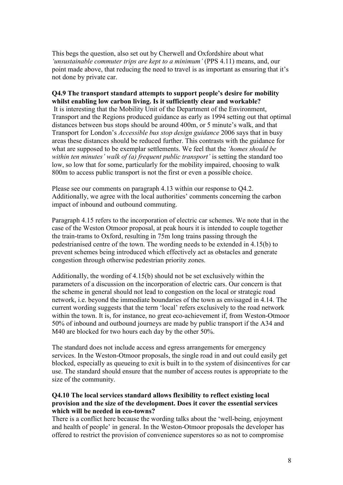This begs the question, also set out by Cherwell and Oxfordshire about what *'unsustainable commuter trips are kept to a minimum'* (PPS 4.11) means, and, our point made above, that reducing the need to travel is as important as ensuring that it's not done by private car.

#### **Q4.9 The transport standard attempts to support people's desire for mobility whilst enabling low carbon living. Is it sufficiently clear and workable?**

 It is interesting that the Mobility Unit of the Department of the Environment, Transport and the Regions produced guidance as early as 1994 setting out that optimal distances between bus stops should be around 400m, or 5 minute's walk, and that Transport for London's *Accessible bus stop design guidance* 2006 says that in busy areas these distances should be reduced further. This contrasts with the guidance for what are supposed to be exemplar settlements. We feel that the *'homes should be within ten minutes' walk of (a) frequent public transport'* is setting the standard too low, so low that for some, particularly for the mobility impaired, choosing to walk 800m to access public transport is not the first or even a possible choice.

Please see our comments on paragraph 4.13 within our response to Q4.2. Additionally, we agree with the local authorities' comments concerning the carbon impact of inbound and outbound commuting.

Paragraph 4.15 refers to the incorporation of electric car schemes. We note that in the case of the Weston Otmoor proposal, at peak hours it is intended to couple together the train-trams to Oxford, resulting in 75m long trains passing through the pedestrianised centre of the town. The wording needs to be extended in 4.15(b) to prevent schemes being introduced which effectively act as obstacles and generate congestion through otherwise pedestrian priority zones.

Additionally, the wording of 4.15(b) should not be set exclusively within the parameters of a discussion on the incorporation of electric cars. Our concern is that the scheme in general should not lead to congestion on the local or strategic road network, i.e. beyond the immediate boundaries of the town as envisaged in 4.14. The current wording suggests that the term 'local' refers exclusively to the road network within the town. It is, for instance, no great eco-achievement if, from Weston-Otmoor 50% of inbound and outbound journeys are made by public transport if the A34 and M40 are blocked for two hours each day by the other 50%.

The standard does not include access and egress arrangements for emergency services. In the Weston-Otmoor proposals, the single road in and out could easily get blocked, especially as queueing to exit is built in to the system of disincentives for car use. The standard should ensure that the number of access routes is appropriate to the size of the community.

#### **Q4.10 The local services standard allows flexibility to reflect existing local provision and the size of the development. Does it cover the essential services which will be needed in eco-towns?**

There is a conflict here because the wording talks about the 'well-being, enjoyment and health of people' in general. In the Weston-Otmoor proposals the developer has offered to restrict the provision of convenience superstores so as not to compromise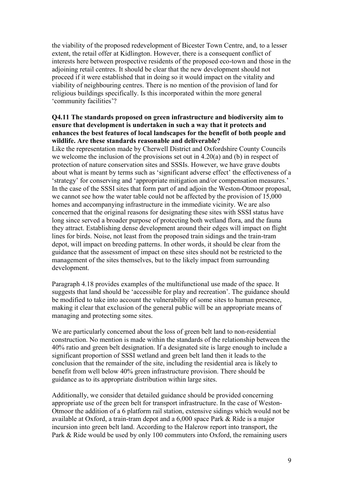the viability of the proposed redevelopment of Bicester Town Centre, and, to a lesser extent, the retail offer at Kidlington. However, there is a consequent conflict of interests here between prospective residents of the proposed eco-town and those in the adjoining retail centres. It should be clear that the new development should not proceed if it were established that in doing so it would impact on the vitality and viability of neighbouring centres. There is no mention of the provision of land for religious buildings specifically. Is this incorporated within the more general 'community facilities'?

#### **Q4.11 The standards proposed on green infrastructure and biodiversity aim to ensure that development is undertaken in such a way that it protects and enhances the best features of local landscapes for the benefit of both people and wildlife. Are these standards reasonable and deliverable?**

Like the representation made by Cherwell District and Oxfordshire County Councils we welcome the inclusion of the provisions set out in 4.20(a) and (b) in respect of protection of nature conservation sites and SSSIs. However, we have grave doubts about what is meant by terms such as 'significant adverse effect' the effectiveness of a 'strategy' for conserving and 'appropriate mitigation and/or compensation measures.' In the case of the SSSI sites that form part of and adjoin the Weston-Otmoor proposal, we cannot see how the water table could not be affected by the provision of 15,000 homes and accompanying infrastructure in the immediate vicinity. We are also concerned that the original reasons for designating these sites with SSSI status have long since served a broader purpose of protecting both wetland flora, and the fauna they attract. Establishing dense development around their edges will impact on flight lines for birds. Noise, not least from the proposed train sidings and the train-tram depot, will impact on breeding patterns. In other words, it should be clear from the guidance that the assessment of impact on these sites should not be restricted to the management of the sites themselves, but to the likely impact from surrounding development.

Paragraph 4.18 provides examples of the multifunctional use made of the space. It suggests that land should be 'accessible for play and recreation'. The guidance should be modified to take into account the vulnerability of some sites to human presence, making it clear that exclusion of the general public will be an appropriate means of managing and protecting some sites.

We are particularly concerned about the loss of green belt land to non-residential construction. No mention is made within the standards of the relationship between the 40% ratio and green belt designation. If a designated site is large enough to include a significant proportion of SSSI wetland and green belt land then it leads to the conclusion that the remainder of the site, including the residential area is likely to benefit from well below 40% green infrastructure provision. There should be guidance as to its appropriate distribution within large sites.

Additionally, we consider that detailed guidance should be provided concerning appropriate use of the green belt for transport infrastructure. In the case of Weston-Otmoor the addition of a 6 platform rail station, extensive sidings which would not be available at Oxford, a train-tram depot and a 6,000 space Park & Ride is a major incursion into green belt land. According to the Halcrow report into transport, the Park & Ride would be used by only 100 commuters into Oxford, the remaining users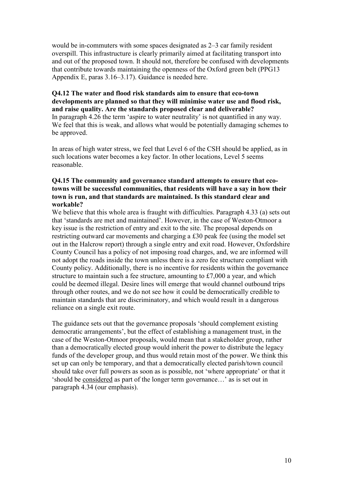would be in-commuters with some spaces designated as 2–3 car family resident overspill. This infrastructure is clearly primarily aimed at facilitating transport into and out of the proposed town. It should not, therefore be confused with developments that contribute towards maintaining the openness of the Oxford green belt (PPG13 Appendix E, paras 3.16–3.17). Guidance is needed here.

#### **Q4.12 The water and flood risk standards aim to ensure that eco-town developments are planned so that they will minimise water use and flood risk, and raise quality. Are the standards proposed clear and deliverable?**  In paragraph 4.26 the term 'aspire to water neutrality' is not quantified in any way.

We feel that this is weak, and allows what would be potentially damaging schemes to be approved.

In areas of high water stress, we feel that Level 6 of the CSH should be applied, as in such locations water becomes a key factor. In other locations, Level 5 seems reasonable.

#### **Q4.15 The community and governance standard attempts to ensure that ecotowns will be successful communities, that residents will have a say in how their town is run, and that standards are maintained. Is this standard clear and workable?**

We believe that this whole area is fraught with difficulties. Paragraph 4.33 (a) sets out that 'standards are met and maintained'. However, in the case of Weston-Otmoor a key issue is the restriction of entry and exit to the site. The proposal depends on restricting outward car movements and charging a £30 peak fee (using the model set out in the Halcrow report) through a single entry and exit road. However, Oxfordshire County Council has a policy of not imposing road charges, and, we are informed will not adopt the roads inside the town unless there is a zero fee structure compliant with County policy. Additionally, there is no incentive for residents within the governance structure to maintain such a fee structure, amounting to £7,000 a year, and which could be deemed illegal. Desire lines will emerge that would channel outbound trips through other routes, and we do not see how it could be democratically credible to maintain standards that are discriminatory, and which would result in a dangerous reliance on a single exit route.

The guidance sets out that the governance proposals 'should complement existing democratic arrangements', but the effect of establishing a management trust, in the case of the Weston-Otmoor proposals, would mean that a stakeholder group, rather than a democratically elected group would inherit the power to distribute the legacy funds of the developer group, and thus would retain most of the power. We think this set up can only be temporary, and that a democratically elected parish/town council should take over full powers as soon as is possible, not 'where appropriate' or that it 'should be considered as part of the longer term governance…' as is set out in paragraph 4.34 (our emphasis).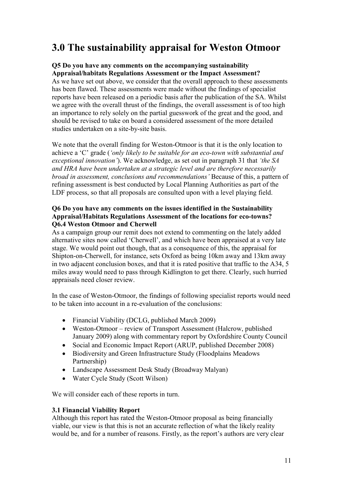### **3.0 The sustainability appraisal for Weston Otmoor**

#### **Q5 Do you have any comments on the accompanying sustainability Appraisal/habitats Regulations Assessment or the Impact Assessment?**

As we have set out above, we consider that the overall approach to these assessments has been flawed. These assessments were made without the findings of specialist reports have been released on a periodic basis after the publication of the SA. Whilst we agree with the overall thrust of the findings, the overall assessment is of too high an importance to rely solely on the partial guesswork of the great and the good, and should be revised to take on board a considered assessment of the more detailed studies undertaken on a site-by-site basis.

We note that the overall finding for Weston-Otmoor is that it is the only location to achieve a 'C' grade (*'only likely to be suitable for an eco-town with substantial and exceptional innovation'*). We acknowledge, as set out in paragraph 31 that *'the SA and HRA have been undertaken at a strategic level and are therefore necessarily broad in assessment, conclusions and recommendations'* Because of this, a pattern of refining assessment is best conducted by Local Planning Authorities as part of the LDF process, so that all proposals are consulted upon with a level playing field.

#### **Q6 Do you have any comments on the issues identified in the Sustainability Appraisal/Habitats Regulations Assessment of the locations for eco-towns? Q6.4 Weston Otmoor and Cherwell**

As a campaign group our remit does not extend to commenting on the lately added alternative sites now called 'Cherwell', and which have been appraised at a very late stage. We would point out though, that as a consequence of this, the appraisal for Shipton-on-Cherwell, for instance, sets Oxford as being 10km away and 13km away in two adjacent conclusion boxes, and that it is rated positive that traffic to the A34, 5 miles away would need to pass through Kidlington to get there. Clearly, such hurried appraisals need closer review.

In the case of Weston-Otmoor, the findings of following specialist reports would need to be taken into account in a re-evaluation of the conclusions:

- Financial Viability (DCLG, published March 2009)
- Weston-Otmoor review of Transport Assessment (Halcrow, published January 2009) along with commentary report by Oxfordshire County Council
- Social and Economic Impact Report (ARUP, published December 2008)
- Biodiversity and Green Infrastructure Study (Floodplains Meadows) Partnership)
- Landscape Assessment Desk Study (Broadway Malyan)
- Water Cycle Study (Scott Wilson)

We will consider each of these reports in turn.

#### **3.1 Financial Viability Report**

Although this report has rated the Weston-Otmoor proposal as being financially viable, our view is that this is not an accurate reflection of what the likely reality would be, and for a number of reasons. Firstly, as the report's authors are very clear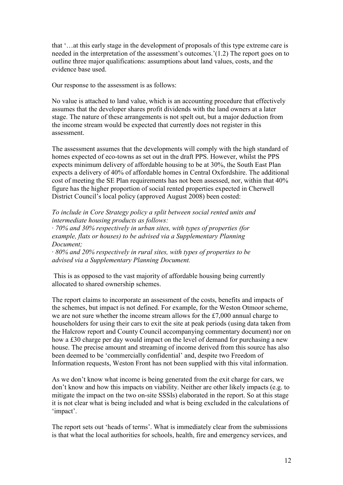that '…at this early stage in the development of proposals of this type extreme care is needed in the interpretation of the assessment's outcomes.'(1.2) The report goes on to outline three major qualifications: assumptions about land values, costs, and the evidence base used.

Our response to the assessment is as follows:

No value is attached to land value, which is an accounting procedure that effectively assumes that the developer shares profit dividends with the land owners at a later stage. The nature of these arrangements is not spelt out, but a major deduction from the income stream would be expected that currently does not register in this assessment.

The assessment assumes that the developments will comply with the high standard of homes expected of eco-towns as set out in the draft PPS. However, whilst the PPS expects minimum delivery of affordable housing to be at 30%, the South East Plan expects a delivery of 40% of affordable homes in Central Oxfordshire. The additional cost of meeting the SE Plan requirements has not been assessed, nor, within that 40% figure has the higher proportion of social rented properties expected in Cherwell District Council's local policy (approved August 2008) been costed:

*To include in Core Strategy policy a split between social rented units and intermediate housing products as follows:* 

*· 70% and 30% respectively in urban sites, with types of properties (for example, flats or houses) to be advised via a Supplementary Planning Document;* 

*· 80% and 20% respectively in rural sites, with types of properties to be advised via a Supplementary Planning Document.* 

 This is as opposed to the vast majority of affordable housing being currently allocated to shared ownership schemes.

The report claims to incorporate an assessment of the costs, benefits and impacts of the schemes, but impact is not defined. For example, for the Weston Otmoor scheme, we are not sure whether the income stream allows for the £7,000 annual charge to householders for using their cars to exit the site at peak periods (using data taken from the Halcrow report and County Council accompanying commentary document) nor on how a £30 charge per day would impact on the level of demand for purchasing a new house. The precise amount and streaming of income derived from this source has also been deemed to be 'commercially confidential' and, despite two Freedom of Information requests, Weston Front has not been supplied with this vital information.

As we don't know what income is being generated from the exit charge for cars, we don't know and how this impacts on viability. Neither are other likely impacts (e.g. to mitigate the impact on the two on-site SSSIs) elaborated in the report. So at this stage it is not clear what is being included and what is being excluded in the calculations of 'impact'.

The report sets out 'heads of terms'. What is immediately clear from the submissions is that what the local authorities for schools, health, fire and emergency services, and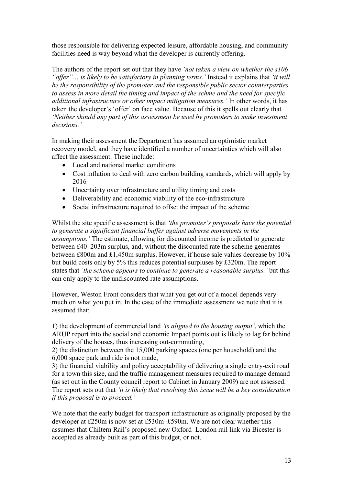those responsible for delivering expected leisure, affordable housing, and community facilities need is way beyond what the developer is currently offering.

The authors of the report set out that they have *'not taken a view on whether the s106 "offer"… is likely to be satisfactory in planning terms.'* Instead it explains that *'it will be the responsibility of the promoter and the responsible public sector counterparties to assess in more detail the timing and impact of the schme and the need for specific additional infrastructure or other impact mitigation measures.'* In other words, it has taken the developer's 'offer' on face value. Because of this it spells out clearly that *'Neither should any part of this assessment be used by promoters to make investment decisions.'* 

In making their assessment the Department has assumed an optimistic market recovery model, and they have identified a number of uncertainties which will also affect the assessment. These include:

- Local and national market conditions
- Cost inflation to deal with zero carbon building standards, which will apply by 2016
- Uncertainty over infrastructure and utility timing and costs
- Deliverability and economic viability of the eco-infrastructure
- Social infrastructure required to offset the impact of the scheme

Whilst the site specific assessment is that *'the promoter's proposals have the potential to generate a significant financial buffer against adverse movements in the assumptions.'* The estimate, allowing for discounted income is predicted to generate between £40–203m surplus, and, without the discounted rate the scheme generates between £800m and £1,450m surplus. However, if house sale values decrease by 10% but build costs only by 5% this reduces potential surpluses by £320m. The report states that *'the scheme appears to continue to generate a reasonable surplus.'* but this can only apply to the undiscounted rate assumptions.

However, Weston Front considers that what you get out of a model depends very much on what you put in. In the case of the immediate assessment we note that it is assumed that:

1) the development of commercial land *'is aligned to the housing output'*, which the ARUP report into the social and economic Impact points out is likely to lag far behind delivery of the houses, thus increasing out-commuting,

2) the distinction between the 15,000 parking spaces (one per household) and the 6,000 space park and ride is not made,

3) the financial viability and policy acceptability of delivering a single entry-exit road for a town this size, and the traffic management measures required to manage demand (as set out in the County council report to Cabinet in January 2009) are not assessed. The report sets out that *'it is likely that resolving this issue will be a key consideration if this proposal is to proceed.'*

We note that the early budget for transport infrastructure as originally proposed by the developer at £250m is now set at £530m–£590m. We are not clear whether this assumes that Chiltern Rail's proposed new Oxford–London rail link via Bicester is accepted as already built as part of this budget, or not.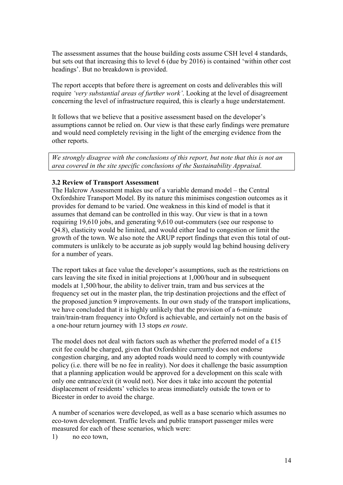The assessment assumes that the house building costs assume CSH level 4 standards, but sets out that increasing this to level 6 (due by 2016) is contained 'within other cost headings'. But no breakdown is provided.

The report accepts that before there is agreement on costs and deliverables this will require *'very substantial areas of further work'*. Looking at the level of disagreement concerning the level of infrastructure required, this is clearly a huge understatement.

It follows that we believe that a positive assessment based on the developer's assumptions cannot be relied on. Our view is that these early findings were premature and would need completely revising in the light of the emerging evidence from the other reports.

*We strongly disagree with the conclusions of this report, but note that this is not an area covered in the site specific conclusions of the Sustainability Appraisal.* 

#### **3.2 Review of Transport Assessment**

The Halcrow Assessment makes use of a variable demand model – the Central Oxfordshire Transport Model. By its nature this minimises congestion outcomes as it provides for demand to be varied. One weakness in this kind of model is that it assumes that demand can be controlled in this way. Our view is that in a town requiring 19,610 jobs, and generating 9,610 out-commuters (see our response to Q4.8), elasticity would be limited, and would either lead to congestion or limit the growth of the town. We also note the ARUP report findings that even this total of outcommuters is unlikely to be accurate as job supply would lag behind housing delivery for a number of years.

The report takes at face value the developer's assumptions, such as the restrictions on cars leaving the site fixed in initial projections at 1,000/hour and in subsequent models at 1,500/hour, the ability to deliver train, tram and bus services at the frequency set out in the master plan, the trip destination projections and the effect of the proposed junction 9 improvements. In our own study of the transport implications, we have concluded that it is highly unlikely that the provision of a 6-minute train/train-tram frequency into Oxford is achievable, and certainly not on the basis of a one-hour return journey with 13 stops *en route*.

The model does not deal with factors such as whether the preferred model of a £15 exit fee could be charged, given that Oxfordshire currently does not endorse congestion charging, and any adopted roads would need to comply with countywide policy (i.e. there will be no fee in reality). Nor does it challenge the basic assumption that a planning application would be approved for a development on this scale with only one entrance/exit (it would not). Nor does it take into account the potential displacement of residents' vehicles to areas immediately outside the town or to Bicester in order to avoid the charge.

A number of scenarios were developed, as well as a base scenario which assumes no eco-town development. Traffic levels and public transport passenger miles were measured for each of these scenarios, which were:

1) no eco town,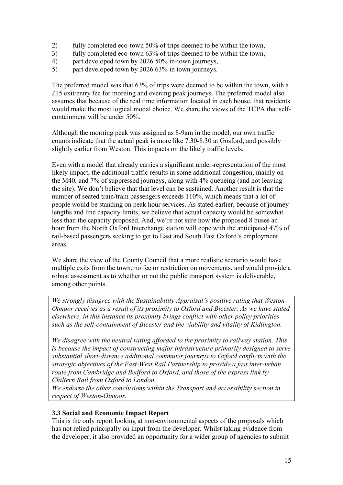- 2) fully completed eco-town 50% of trips deemed to be within the town,
- 3) fully completed eco-town 63% of trips deemed to be within the town,
- 4) part developed town by 2026 50% in-town journeys,
- 5) part developed town by 2026 63% in town journeys.

The preferred model was that 63% of trips were deemed to be within the town, with a £15 exit/entry fee for morning and evening peak journeys. The preferred model also assumes that because of the real time information located in each house, that residents would make the most logical modal choice. We share the views of the TCPA that selfcontainment will be under 50%.

Although the morning peak was assigned as 8-9am in the model, our own traffic counts indicate that the actual peak is more like 7.30-8.30 at Gosford, and possibly slightly earlier from Weston. This impacts on the likely traffic levels.

Even with a model that already carries a significant under-representation of the most likely impact, the additional traffic results in some additional congestion, mainly on the M40, and 7% of suppressed journeys, along with 4% queueing (and not leaving the site). We don't believe that that level can be sustained. Another result is that the number of seated train/tram passengers exceeds 110%, which means that a lot of people would be standing on peak hour services. As stated earlier, because of journey lengths and line capacity limits, we believe that actual capacity would be somewhat less than the capacity proposed. And, we're not sure how the proposed 8 buses an hour from the North Oxford Interchange station will cope with the anticipated 47% of rail-based passengers seeking to get to East and South East Oxford's employment areas.

We share the view of the County Council that a more realistic scenario would have multiple exits from the town, no fee or restriction on movements, and would provide a robust assessment as to whether or not the public transport system is deliverable, among other points.

*We strongly disagree with the Sustainability Appraisal's positive rating that Weston-Otmoor receives as a result of its proximity to Oxford and Bicester. As we have stated elsewhere, in this instance its proximity brings conflict with other policy priorities such as the self-containment of Bicester and the viability and vitality of Kidlington.* 

*We disagree with the neutral rating afforded to the proximity to railway station. This is because the impact of constructing major infrastructure primarily designed to serve substantial short-distance additional commuter journeys to Oxford conflicts with the strategic objectives of the East-West Rail Partnership to provide a fast inter-urban route from Cambridge and Bedford to Oxford, and those of the express link by Chiltern Rail from Oxford to London.* 

*We endorse the other conclusions within the Transport and accessibility section in respect of Weston-Otmoor.* 

#### **3.3 Social and Economic Impact Report**

This is the only report looking at non-environmental aspects of the proposals which has not relied principally on input from the developer. Whilst taking evidence from the developer, it also provided an opportunity for a wider group of agencies to submit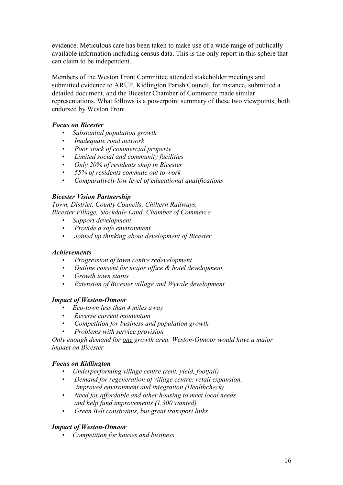evidence. Meticulous care has been taken to make use of a wide range of publically available information including census data. This is the only report in this sphere that can claim to be independent.

Members of the Weston Front Committee attended stakeholder meetings and submitted evidence to ARUP. Kidlington Parish Council, for instance, submitted a detailed document, and the Bicester Chamber of Commerce made similar representations. What follows is a powerpoint summary of these two viewpoints, both endorsed by Weston Front.

#### *Focus on Bicester*

- *Substantial population growth*
- • *Inadequate road network*
- • *Poor stock of commercial property*
- • *Limited social and community facilities*
- • *Only 20% of residents shop in Bicester*
- • *55% of residents commute out to work*
- • *Comparatively low level of educational qualifications*

#### *Bicester Vision Partnership*

*Town, District, County Councils, Chiltern Railways, Bicester Village, Stockdale Land, Chamber of Commerce* 

- *Support development*
- • *Provide a safe environment*
- • *Joined up thinking about development of Bicester*

#### *Achievements*

- • *Progression of town centre redevelopment*
- • *Outline consent for major office & hotel development*
- • *Growth town status*
- • *Extension of Bicester village and Wyvale development*

#### *Impact of Weston-Otmoor*

- *Eco-town less than 4 miles away*
- • *Reverse current momentum*
- • *Competition for business and population growth*
- • *Problems with service provision*

*Only enough demand for one growth area. Weston-Otmoor would have a major impact on Bicester* 

#### *Focus on Kidlington*

- *Underperforming village centre (rent, yield, footfall)*
- • *Demand for regeneration of village centre: retail expansion, improved environment and integration (Healthcheck)*
- • *Need for affordable and other housing to meet local needs and help fund improvements (1,300 wanted)*
- • *Green Belt constraints, but great transport links*

#### *Impact of Weston-Otmoor*

• *Competition for houses and business*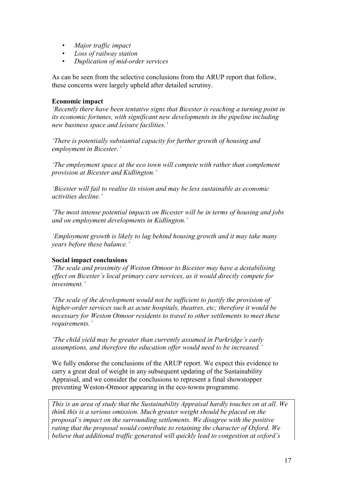- • *Major traffic impact*
- *Loss of railway station*
- • *Duplication of mid-order services*

As can be seen from the selective conclusions from the ARUP report that follow, these concerns were largely upheld after detailed scrutiny.

#### **Economic impact**

*'Recently there have been tentative signs that Bicester is reaching a turning point in its economic fortunes, with significant new developments in the pipeline including new business space and leisure facilities.'* 

*'There is potentially substantial capacity for further growth of housing and employment in Bicester.'* 

*'The employment space at the eco town will compete with rather than complement provision at Bicester and Kidlington.'* 

*'Bicester will fail to realise its vision and may be less sustainable as economic activities decline.'* 

*'The most intense potential impacts on Bicester will be in terms of housing and jobs and on employment developments in Kidlington.'* 

*'Employment growth is likely to lag behind housing growth and it may take many years before these balance.'* 

#### **Social impact conclusions**

*'The scale and proximity of Weston Otmoor to Bicester may have a destabilising effect on Bicester's local primary care services, as it would directly compete for investment.'* 

*'The scale of the development would not be sufficient to justify the provision of higher-order services such as acute hospitals, theatres, etc; therefore it would be necessary for Weston Otmoor residents to travel to other settlements to meet these requirements.'* 

*'The child yield may be greater than currently assumed in Parkridge's early assumptions, and therefore the education offer would need to be increased.'* 

We fully endorse the conclusions of the ARUP report. We expect this evidence to carry a great deal of weight in any subsequent updating of the Sustainability Appraisal, and we consider the conclusions to represent a final showstopper preventing Weston-Otmoor appearing in the eco-towns programme.

*This is an area of study that the Sustainability Appraisal hardly touches on at all. We think this is a serious omission. Much greater weight should be placed on the proposal's impact on the surrounding settlements. We disagree with the positive rating that the proposal would contribute to retaining the character of Oxford. We believe that additional traffic generated will quickly lead to congestion at oxford's*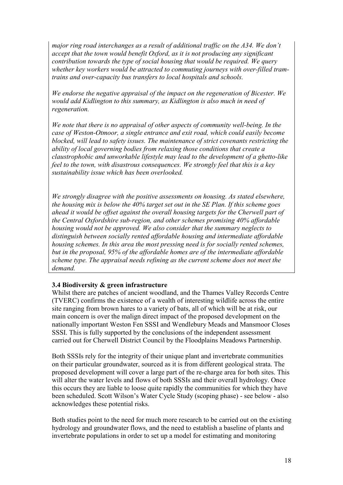*major ring road interchanges as a result of additional traffic on the A34. We don't accept that the town would benefit Oxford, as it is not producing any significant contribution towards the type of social housing that would be required. We query whether key workers would be attracted to commuting journeys with over-filled tramtrains and over-capacity bus transfers to local hospitals and schools.* 

*We endorse the negative appraisal of the impact on the regeneration of Bicester. We would add Kidlington to this summary, as Kidlington is also much in need of regeneration.* 

*We note that there is no appraisal of other aspects of community well-being. In the case of Weston-Otmoor, a single entrance and exit road, which could easily become blocked, will lead to safety issues. The maintenance of strict covenants restricting the ability of local governing bodies from relaxing those conditions that create a claustrophobic and unworkable lifestyle may lead to the development of a ghetto-like feel to the town, with disastrous consequences. We strongly feel that this is a key sustainability issue which has been overlooked.* 

*We strongly disagree with the positive assessments on housing. As stated elsewhere, the housing mix is below the 40% target set out in the SE Plan. If this scheme goes ahead it would be offset against the overall housing targets for the Cherwell part of the Central Oxfordshire sub-region, and other schemes promising 40% affordable housing would not be approved. We also consider that the summary neglects to distinguish between socially rented affordable housing and intermediate affordable housing schemes. In this area the most pressing need is for socially rented schemes, but in the proposal, 95% of the affordable homes are of the intermediate affordable scheme type. The appraisal needs refining as the current scheme does not meet the demand.* 

#### **3.4 Biodiversity & green infrastructure**

Whilst there are patches of ancient woodland, and the Thames Valley Records Centre (TVERC) confirms the existence of a wealth of interesting wildlife across the entire site ranging from brown hares to a variety of bats, all of which will be at risk, our main concern is over the malign direct impact of the proposed development on the nationally important Weston Fen SSSI and Wendlebury Meads and Mansmoor Closes SSSI. This is fully supported by the conclusions of the independent assessment carried out for Cherwell District Council by the Floodplains Meadows Partnership.

Both SSSIs rely for the integrity of their unique plant and invertebrate communities on their particular groundwater, sourced as it is from different geological strata. The proposed development will cover a large part of the re-charge area for both sites. This will alter the water levels and flows of both SSSIs and their overall hydrology. Once this occurs they are liable to loose quite rapidly the communities for which they have been scheduled. Scott Wilson's Water Cycle Study (scoping phase) - see below - also acknowledges these potential risks.

Both studies point to the need for much more research to be carried out on the existing hydrology and groundwater flows, and the need to establish a baseline of plants and invertebrate populations in order to set up a model for estimating and monitoring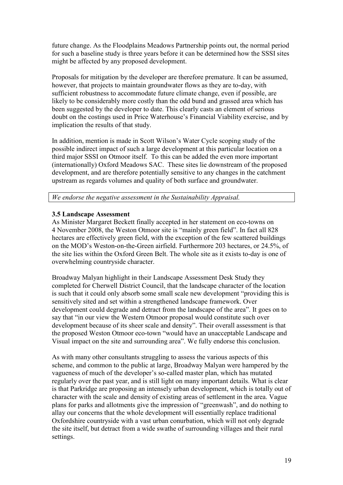future change. As the Floodplains Meadows Partnership points out, the normal period for such a baseline study is three years before it can be determined how the SSSI sites might be affected by any proposed development.

Proposals for mitigation by the developer are therefore premature. It can be assumed, however, that projects to maintain groundwater flows as they are to-day, with sufficient robustness to accommodate future climate change, even if possible, are likely to be considerably more costly than the odd bund and grassed area which has been suggested by the developer to date. This clearly casts an element of serious doubt on the costings used in Price Waterhouse's Financial Viability exercise, and by implication the results of that study.

In addition, mention is made in Scott Wilson's Water Cycle scoping study of the possible indirect impact of such a large development at this particular location on a third major SSSI on Otmoor itself. To this can be added the even more important (internationally) Oxford Meadows SAC. These sites lie downstream of the proposed development, and are therefore potentially sensitive to any changes in the catchment upstream as regards volumes and quality of both surface and groundwater.

*We endorse the negative assessment in the Sustainability Appraisal.* 

#### **3.5 Landscape Assessment**

As Minister Margaret Beckett finally accepted in her statement on eco-towns on 4 November 2008, the Weston Otmoor site is "mainly green field". In fact all 828 hectares are effectively green field, with the exception of the few scattered buildings on the MOD's Weston-on-the-Green airfield. Furthermore 203 hectares, or 24.5%, of the site lies within the Oxford Green Belt. The whole site as it exists to-day is one of overwhelming countryside character.

Broadway Malyan highlight in their Landscape Assessment Desk Study they completed for Cherwell District Council, that the landscape character of the location is such that it could only absorb some small scale new development "providing this is sensitively sited and set within a strengthened landscape framework. Over development could degrade and detract from the landscape of the area". It goes on to say that "in our view the Western Otmoor proposal would constitute such over development because of its sheer scale and density". Their overall assessment is that the proposed Weston Otmoor eco-town "would have an unacceptable Landscape and Visual impact on the site and surrounding area". We fully endorse this conclusion.

As with many other consultants struggling to assess the various aspects of this scheme, and common to the public at large, Broadway Malyan were hampered by the vagueness of much of the developer's so-called master plan, which has mutated regularly over the past year, and is still light on many important details. What is clear is that Parkridge are proposing an intensely urban development, which is totally out of character with the scale and density of existing areas of settlement in the area. Vague plans for parks and allotments give the impression of "greenwash", and do nothing to allay our concerns that the whole development will essentially replace traditional Oxfordshire countryside with a vast urban conurbation, which will not only degrade the site itself, but detract from a wide swathe of surrounding villages and their rural settings.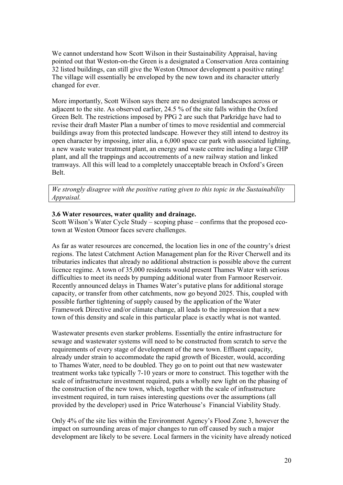We cannot understand how Scott Wilson in their Sustainability Appraisal, having pointed out that Weston-on-the Green is a designated a Conservation Area containing 32 listed buildings, can still give the Weston Otmoor development a positive rating! The village will essentially be enveloped by the new town and its character utterly changed for ever.

More importantly, Scott Wilson says there are no designated landscapes across or adjacent to the site. As observed earlier, 24.5 % of the site falls within the Oxford Green Belt. The restrictions imposed by PPG 2 are such that Parkridge have had to revise their draft Master Plan a number of times to move residential and commercial buildings away from this protected landscape. However they still intend to destroy its open character by imposing, inter alia, a 6,000 space car park with associated lighting, a new waste water treatment plant, an energy and waste centre including a large CHP plant, and all the trappings and accoutrements of a new railway station and linked tramways. All this will lead to a completely unacceptable breach in Oxford's Green Belt.

*We strongly disagree with the positive rating given to this topic in the Sustainability Appraisal.* 

#### **3.6 Water resources, water quality and drainage.**

Scott Wilson's Water Cycle Study – scoping phase – confirms that the proposed ecotown at Weston Otmoor faces severe challenges.

As far as water resources are concerned, the location lies in one of the country's driest regions. The latest Catchment Action Management plan for the River Cherwell and its tributaries indicates that already no additional abstraction is possible above the current licence regime. A town of 35,000 residents would present Thames Water with serious difficulties to meet its needs by pumping additional water from Farmoor Reservoir. Recently announced delays in Thames Water's putative plans for additional storage capacity, or transfer from other catchments, now go beyond 2025. This, coupled with possible further tightening of supply caused by the application of the Water Framework Directive and/or climate change, all leads to the impression that a new town of this density and scale in this particular place is exactly what is not wanted.

Wastewater presents even starker problems. Essentially the entire infrastructure for sewage and wastewater systems will need to be constructed from scratch to serve the requirements of every stage of development of the new town. Effluent capacity, already under strain to accommodate the rapid growth of Bicester, would, according to Thames Water, need to be doubled. They go on to point out that new wastewater treatment works take typically 7-10 years or more to construct. This together with the scale of infrastructure investment required, puts a wholly new light on the phasing of the construction of the new town, which, together with the scale of infrastructure investment required, in turn raises interesting questions over the assumptions (all provided by the developer) used in Price Waterhouse's Financial Viability Study.

Only 4% of the site lies within the Environment Agency's Flood Zone 3, however the impact on surrounding areas of major changes to run off caused by such a major development are likely to be severe. Local farmers in the vicinity have already noticed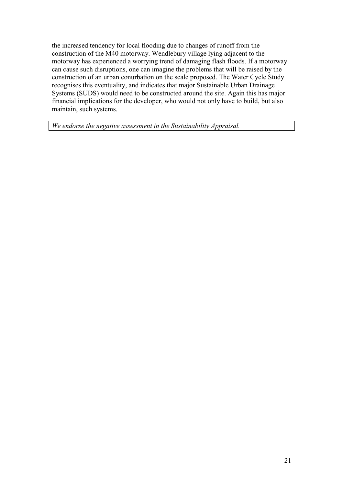the increased tendency for local flooding due to changes of runoff from the construction of the M40 motorway. Wendlebury village lying adjacent to the motorway has experienced a worrying trend of damaging flash floods. If a motorway can cause such disruptions, one can imagine the problems that will be raised by the construction of an urban conurbation on the scale proposed. The Water Cycle Study recognises this eventuality, and indicates that major Sustainable Urban Drainage Systems (SUDS) would need to be constructed around the site. Again this has major financial implications for the developer, who would not only have to build, but also maintain, such systems.

*We endorse the negative assessment in the Sustainability Appraisal.*